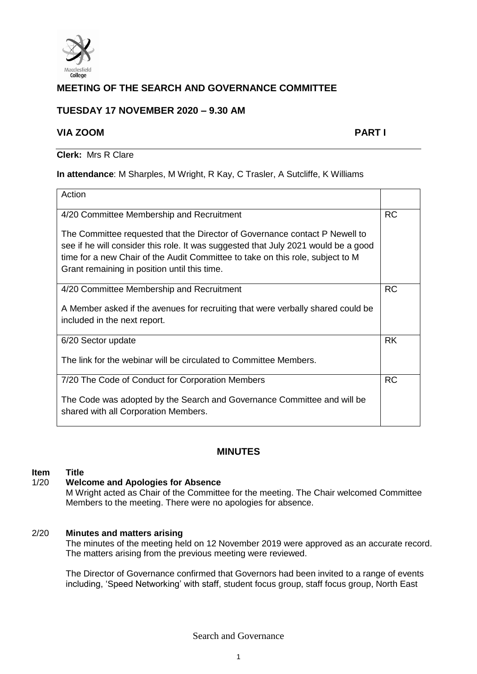

# **MEETING OF THE SEARCH AND GOVERNANCE COMMITTEE**

## **TUESDAY 17 NOVEMBER 2020 – 9.30 AM**

## **VIA ZOOM PART I**

**Clerk:** Mrs R Clare

#### **In attendance**: M Sharples, M Wright, R Kay, C Trasler, A Sutcliffe, K Williams

| Action                                                                                                                                                                                                                                                                                              |           |
|-----------------------------------------------------------------------------------------------------------------------------------------------------------------------------------------------------------------------------------------------------------------------------------------------------|-----------|
| 4/20 Committee Membership and Recruitment                                                                                                                                                                                                                                                           | <b>RC</b> |
| The Committee requested that the Director of Governance contact P Newell to<br>see if he will consider this role. It was suggested that July 2021 would be a good<br>time for a new Chair of the Audit Committee to take on this role, subject to M<br>Grant remaining in position until this time. |           |
| 4/20 Committee Membership and Recruitment                                                                                                                                                                                                                                                           | <b>RC</b> |
| A Member asked if the avenues for recruiting that were verbally shared could be<br>included in the next report.                                                                                                                                                                                     |           |
| 6/20 Sector update                                                                                                                                                                                                                                                                                  | <b>RK</b> |
| The link for the webinar will be circulated to Committee Members.                                                                                                                                                                                                                                   |           |
| 7/20 The Code of Conduct for Corporation Members                                                                                                                                                                                                                                                    | <b>RC</b> |
| The Code was adopted by the Search and Governance Committee and will be<br>shared with all Corporation Members.                                                                                                                                                                                     |           |

## **MINUTES**

# **Item Title**

#### **Welcome and Apologies for Absence**

M Wright acted as Chair of the Committee for the meeting. The Chair welcomed Committee Members to the meeting. There were no apologies for absence.

#### 2/20 **Minutes and matters arising**

The minutes of the meeting held on 12 November 2019 were approved as an accurate record. The matters arising from the previous meeting were reviewed.

The Director of Governance confirmed that Governors had been invited to a range of events including, 'Speed Networking' with staff, student focus group, staff focus group, North East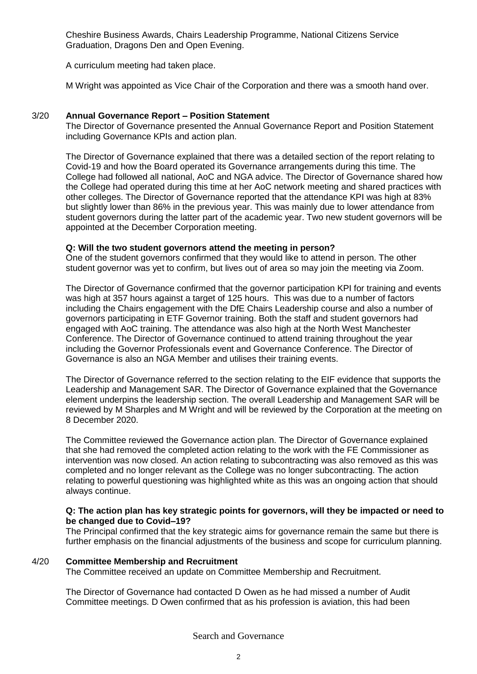Cheshire Business Awards, Chairs Leadership Programme, National Citizens Service Graduation, Dragons Den and Open Evening.

A curriculum meeting had taken place.

M Wright was appointed as Vice Chair of the Corporation and there was a smooth hand over.

## 3/20 **Annual Governance Report – Position Statement**

The Director of Governance presented the Annual Governance Report and Position Statement including Governance KPIs and action plan.

The Director of Governance explained that there was a detailed section of the report relating to Covid-19 and how the Board operated its Governance arrangements during this time. The College had followed all national, AoC and NGA advice. The Director of Governance shared how the College had operated during this time at her AoC network meeting and shared practices with other colleges. The Director of Governance reported that the attendance KPI was high at 83% but slightly lower than 86% in the previous year. This was mainly due to lower attendance from student governors during the latter part of the academic year. Two new student governors will be appointed at the December Corporation meeting.

## **Q: Will the two student governors attend the meeting in person?**

One of the student governors confirmed that they would like to attend in person. The other student governor was yet to confirm, but lives out of area so may join the meeting via Zoom.

The Director of Governance confirmed that the governor participation KPI for training and events was high at 357 hours against a target of 125 hours. This was due to a number of factors including the Chairs engagement with the DfE Chairs Leadership course and also a number of governors participating in ETF Governor training. Both the staff and student governors had engaged with AoC training. The attendance was also high at the North West Manchester Conference. The Director of Governance continued to attend training throughout the year including the Governor Professionals event and Governance Conference. The Director of Governance is also an NGA Member and utilises their training events.

The Director of Governance referred to the section relating to the EIF evidence that supports the Leadership and Management SAR. The Director of Governance explained that the Governance element underpins the leadership section. The overall Leadership and Management SAR will be reviewed by M Sharples and M Wright and will be reviewed by the Corporation at the meeting on 8 December 2020.

The Committee reviewed the Governance action plan. The Director of Governance explained that she had removed the completed action relating to the work with the FE Commissioner as intervention was now closed. An action relating to subcontracting was also removed as this was completed and no longer relevant as the College was no longer subcontracting. The action relating to powerful questioning was highlighted white as this was an ongoing action that should always continue.

#### **Q: The action plan has key strategic points for governors, will they be impacted or need to be changed due to Covid–19?**

The Principal confirmed that the key strategic aims for governance remain the same but there is further emphasis on the financial adjustments of the business and scope for curriculum planning.

#### 4/20 **Committee Membership and Recruitment**

The Committee received an update on Committee Membership and Recruitment.

The Director of Governance had contacted D Owen as he had missed a number of Audit Committee meetings. D Owen confirmed that as his profession is aviation, this had been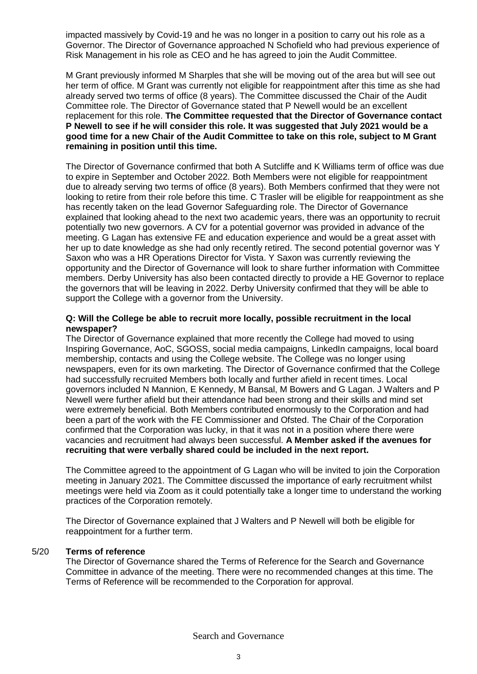impacted massively by Covid-19 and he was no longer in a position to carry out his role as a Governor. The Director of Governance approached N Schofield who had previous experience of Risk Management in his role as CEO and he has agreed to join the Audit Committee.

M Grant previously informed M Sharples that she will be moving out of the area but will see out her term of office. M Grant was currently not eligible for reappointment after this time as she had already served two terms of office (8 years). The Committee discussed the Chair of the Audit Committee role. The Director of Governance stated that P Newell would be an excellent replacement for this role. **The Committee requested that the Director of Governance contact P Newell to see if he will consider this role. It was suggested that July 2021 would be a good time for a new Chair of the Audit Committee to take on this role, subject to M Grant remaining in position until this time.**

The Director of Governance confirmed that both A Sutcliffe and K Williams term of office was due to expire in September and October 2022. Both Members were not eligible for reappointment due to already serving two terms of office (8 years). Both Members confirmed that they were not looking to retire from their role before this time. C Trasler will be eligible for reappointment as she has recently taken on the lead Governor Safeguarding role. The Director of Governance explained that looking ahead to the next two academic years, there was an opportunity to recruit potentially two new governors. A CV for a potential governor was provided in advance of the meeting. G Lagan has extensive FE and education experience and would be a great asset with her up to date knowledge as she had only recently retired. The second potential governor was Y Saxon who was a HR Operations Director for Vista. Y Saxon was currently reviewing the opportunity and the Director of Governance will look to share further information with Committee members. Derby University has also been contacted directly to provide a HE Governor to replace the governors that will be leaving in 2022. Derby University confirmed that they will be able to support the College with a governor from the University.

#### **Q: Will the College be able to recruit more locally, possible recruitment in the local newspaper?**

The Director of Governance explained that more recently the College had moved to using Inspiring Governance, AoC, SGOSS, social media campaigns, LinkedIn campaigns, local board membership, contacts and using the College website. The College was no longer using newspapers, even for its own marketing. The Director of Governance confirmed that the College had successfully recruited Members both locally and further afield in recent times. Local governors included N Mannion, E Kennedy, M Bansal, M Bowers and G Lagan. J Walters and P Newell were further afield but their attendance had been strong and their skills and mind set were extremely beneficial. Both Members contributed enormously to the Corporation and had been a part of the work with the FE Commissioner and Ofsted. The Chair of the Corporation confirmed that the Corporation was lucky, in that it was not in a position where there were vacancies and recruitment had always been successful. **A Member asked if the avenues for recruiting that were verbally shared could be included in the next report.**

The Committee agreed to the appointment of G Lagan who will be invited to join the Corporation meeting in January 2021. The Committee discussed the importance of early recruitment whilst meetings were held via Zoom as it could potentially take a longer time to understand the working practices of the Corporation remotely.

The Director of Governance explained that J Walters and P Newell will both be eligible for reappointment for a further term.

#### 5/20 **Terms of reference**

The Director of Governance shared the Terms of Reference for the Search and Governance Committee in advance of the meeting. There were no recommended changes at this time. The Terms of Reference will be recommended to the Corporation for approval.